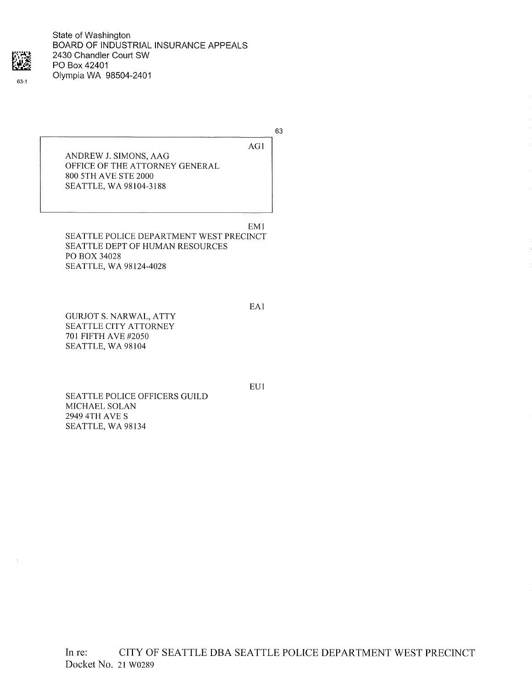

State of Washington BOARD OF INDUSTRIAL INSURANCE APPEALS 2430 Chandler Court SW PO Box 42401 Olympia WA 98504-2401

63

AG1

ANDREW J. SIMONS, AAG OFFICE OF THE ATTORNEY GENERAL 800 5TH AVE STE 2000 SEATTLE, WA 98104-3188

EMI SEATTLE POLICE DEPARTMENT WEST PRECINCT SEATTLE DEPT OF HUMAN RESOURCES PO BOX 34028 SEATTLE, WA 98124-4028

GURJOT S. NARWAL, ATTY SEATTLE CITY ATTORNEY 701 FIFTH AVE #2050 SEATTLE, WA 98104

EU1

EAI

SEATTLE POLICE OFFICERS GUILD MICHAEL SOLAN 2949 4TH AVE S SEATTLE, WA 98134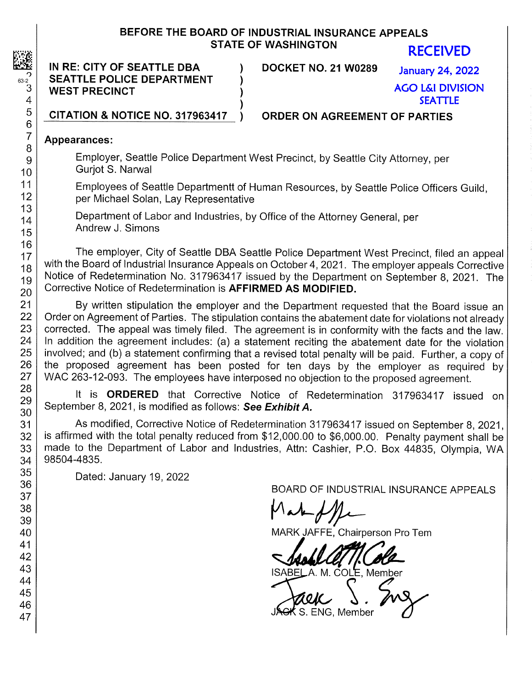## BEFORE THE BOARD OF INDUSTRIAL INSURANCE APPEALS STATE OF WASHINGTON

IN RE: CITY OF SEATTLE DBA ) DOCKET NO. 21 W0289  $\begin{array}{c|c} \text{S2} & \text{SEATILE POLICE DEPARTMENT} \\ \hline 3 & \text{WEST PRECINCT} \end{array}$ **WEST PRECINCT** 

RECEIVED

January 24, 2022 AGO L&I DIVISION SEATTLE

5 CITATION & NOTICE NO. 317963417 ) ORDER ON AGREEMENT OF PARTIES

## Appearances:

9 Employer, Seattle Police Department West Precinct, by Seattle City Attorney, per  $10$  Gurjot S. Narwal

11 Employees of Seattle Departmentt of Human Resources, by Seattle Police Officers Guild,<br>12 **Exercise Policia and Solan Lay Representative** 12 per Michael Solan, Lay Representative<br>13

 $14$  Department of Labor and Industries, by Office of the Attorney General, per  $\overline{15}$  Andrew J. Simons

The employer, City of Seattle DBA Seattle Police Department West Precinct, filed an appeal<br>
with the Board of Industrial Insurance Appeals on October 4, 2021. The employer appeals Corrective<br>
19 Notice of Redetermination N  $\frac{19}{20}$  Corrective Notice of Redetermination is AFFIRMED AS MODIFIED.

21 By written stipulation the employer and the Department requested that the Board issue an<br>22 Order on Agreement of Parties. The stipulation contains the abatement date for violations not already 22 Order on Agreement of Parties. The stipulation contains the abatement date for violations not already<br>23 corrected. The appeal was timely filed. The agreement is in conformity with the facts and the law 23 corrected. The appeal was timely filed. The agreement is in conformity with the facts and the law.<br>24 In addition the agreement includes: (a) a statement reciting the abatement date for the violation 24 In addition the agreement includes: (a) a statement reciting the abatement date for the violation<br>25 involved; and (b) a statement confirming that a revised total penalty will be paid. Further a copy of 25 involved; and (b) a statement confirming that a revised total penalty will be paid. Further, a copy of 26 the proposed agreement has been posted for ten days by the employer as required by 26 the proposed agreement has been posted for ten days by the employer as required by  $27 \mid$  WAC 263-12-093. The employees have interposed no objection to the proposed agreement 27 WAC 263-12-093. The employees have interposed no objection to the proposed agreement.<br>28

 $\begin{array}{c|c} 28 \overline{29} & \text{It is **ORDERED** that Corrective Notice of Redetermination 317963417 issued on 29.} \end{array}$  $\frac{29}{30}$  September 8, 2021, is modified as follows: See Exhibit A.

31 | As modified, Corrective Notice of Redetermination 317963417 issued on September 8, 2021, 32 | is affirmed with the total penalty reduced from \$12,000.00 to \$6,000.00. Penalty payment shall be 33 made to the Department of Labor and Industries, Attn: Cashier, P.O. Box 44835, Olympia, WA 34 98504-4835.

35 Dated: January 19, 2022

<sup>30</sup> BOARD OF INDUSTRIAL INSURANCE APPEALS<br>37

40 MARK JAFFE, Chairperson Pro Tem

43 | ISABELA. M. COLE, Member

46 JACK S. ENG, Member